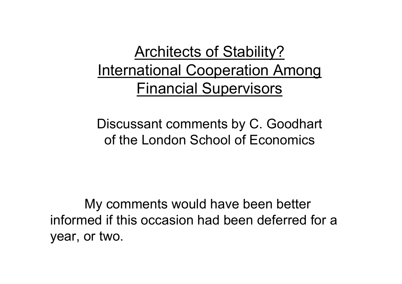# Architects of Stability? International Cooperation Among Financial Supervisors

Discussant comments by C. Goodhart of the London School of Economics

My comments would have been better informed if this occasion had been deferred for a year, or two.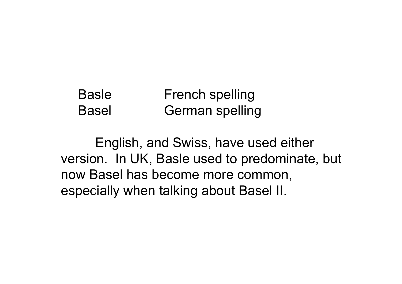#### Basle French spelling Basel German spelling

English, and Swiss, have used either version. In UK, Basle used to predominate, but now Basel has become more common, especially when talking about Basel II.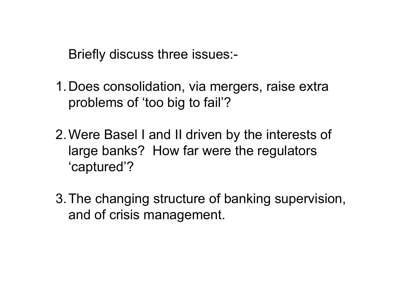Briefly discuss three issues:-

- 1.Does consolidation, via mergers, raise extra problems of 'too big to fail'?
- 2.Were Basel I and II driven by the interests of large banks? How far were the regulators 'captured'?
- 3.The changing structure of banking supervision, and of crisis management.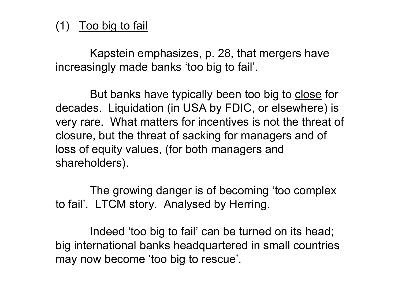### (1) Too big to fail

Kapstein emphasizes, p. 28, that mergers have increasingly made banks 'too big to fail'.

But banks have typically been too big to close for decades. Liquidation (in USA by FDIC, or elsewhere) is very rare. What matters for incentives is not the threat of closure, but the threat of sacking for managers and of loss of equity values, (for both managers and shareholders).

The growing danger is of becoming 'too complex to fail'. LTCM story. Analysed by Herring.

Indeed 'too big to fail' can be turned on its head; big international banks headquartered in small countries may now become 'too big to rescue'.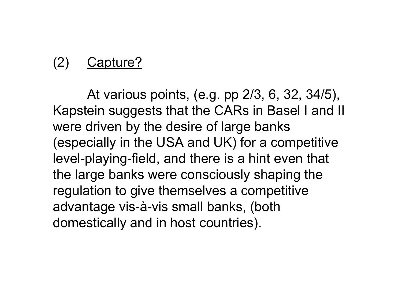## (2) Capture?

At various points, (e.g. pp 2/3, 6, 32, 34/5), Kapstein suggests that the CARs in Basel I and II were driven by the desire of large banks (especially in the USA and UK) for a competitive level-playing-field, and there is a hint even that the large banks were consciously shaping the regulation to give themselves a competitive advantage vis-à-vis small banks, (both domestically and in host countries).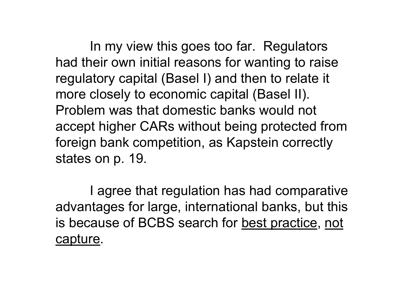In my view this goes too far. Regulators had their own initial reasons for wanting to raise regulatory capital (Basel I) and then to relate it more closely to economic capital (Basel II). Problem was that domestic banks would not accept higher CARs without being protected from foreign bank competition, as Kapstein correctly states on p. 19.

I agree that regulation has had comparative advantages for large, international banks, but this is because of BCBS search for best practice, not capture.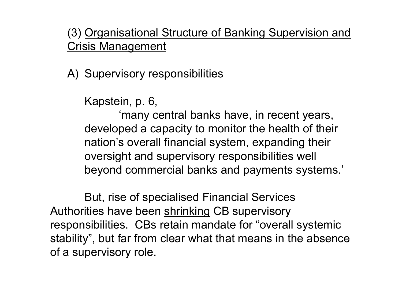### (3) Organisational Structure of Banking Supervision and Crisis Management

A) Supervisory responsibilities

Kapstein, p. 6,

'many central banks have, in recent years, developed a capacity to monitor the health of their nation's overall financial system, expanding their oversight and supervisory responsibilities well beyond commercial banks and payments systems.'

But, rise of specialised Financial Services Authorities have been shrinking CB supervisory responsibilities. CBs retain mandate for "overall systemic stability", but far from clear what that means in the absence of a supervisory role.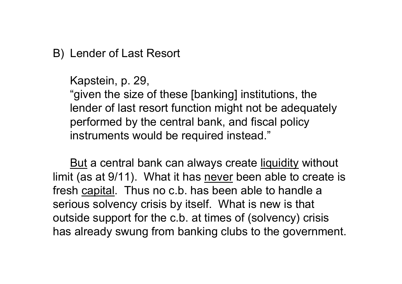### B) Lender of Last Resort

Kapstein, p. 29,

"given the size of these [banking] institutions, the lender of last resort function might not be adequately performed by the central bank, and fiscal policy instruments would be required instead."

<u>But</u> a central bank can always create <u>liquidity</u> without limit (as at 9/11). What it has never been able to create is fresh capital. Thus no c.b. has been able to handle a serious solvency crisis by itself. What is new is that outside support for the c.b. at times of (solvency) crisis has already swung from banking clubs to the government.